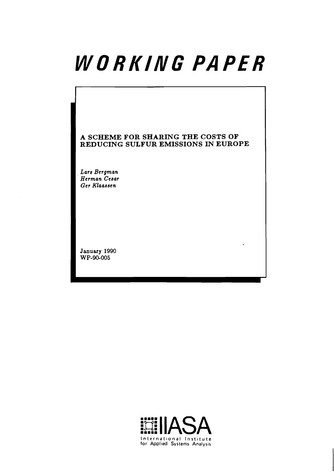# WORKING PAPER

# **A SCHEME FOR SHARING THE COSTS OF REDUCING SULFUR EMISSIONS IN EUROPE**

 $\cdot$ 

**Lars Bergman Herman Cesar Ger Klaa33en** 

**January 1990 W P-WOO5** 

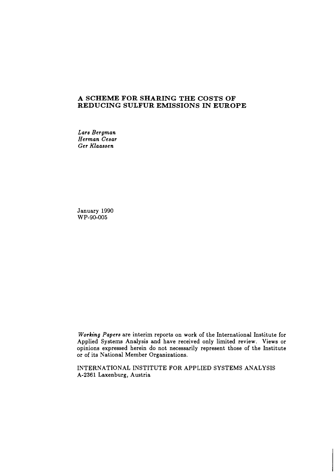#### **A SCHEME FOR SHARING THE COSTS OF REDUCING SULFUR EMISSIONS IN EUROPE**

*Lars Bergman Herman Cesar Ger Klaassen* 

January 1990 WP-90-005

*Working Papers* are interim reports on work of the International Institute for Applied Systems Analysis and have received only limited review. Views or opinions expressed herein do not necessarily represent those of the Institute or of its National Member Organizations.

INTERNATIONAL INSTITUTE FOR APPLIED SYSTEMS ANALYSIS A-2361 Laxenburg, Austria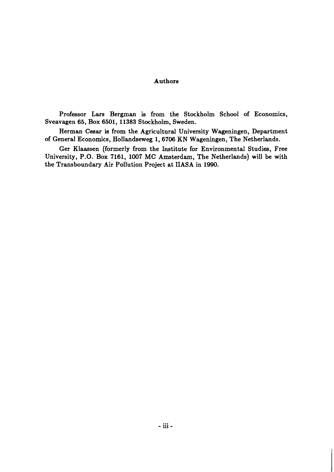#### Authors

Professor Lars Bergman is from the Stockholm School of Economics, Sveavagen 65, Box 6501, 11383 Stockholm, Sweden.

Herman Cesar is from the Agricultural University Wageningen, Department of General Economics, Hollandseweg 1,6706 KN Wageningen, The Netherlands.

Ger Klaassen (formerly from the Institute for Environmental Studies, Free University, P.O. Box 7161, 1007 MC Amsterdam, The Netherlands) will be with the Transboundary Air Pollution Project at IIASA in 1990.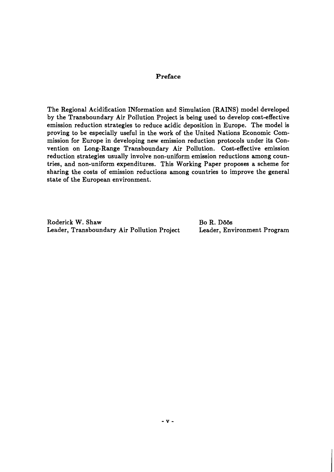## **Preface**

The Regional Acidification INformation and Simulation (RAINS) model developed by the Transboundary Air Pollution Project is being used to develop cost-effective emission reduction strategies to reduce acidic deposition in Europe. The model is proving to be especially useful in the work of the United Nations Economic Commission for Europe in developing new emission reduction protocols under its Convention on Long-Range Transboundary Air Pollution. Cost-effective emission reduction strategies usually involve non-uniform emission reductions among countries, and non-uniform expenditures. This Working Paper proposes a scheme for sharing the costs of emission reductions among countries to improve the general state of the European environment.

Roderick W. Shaw Bo R. Döös Leader, Transboundary Air Pollution Project Leader, Environment Program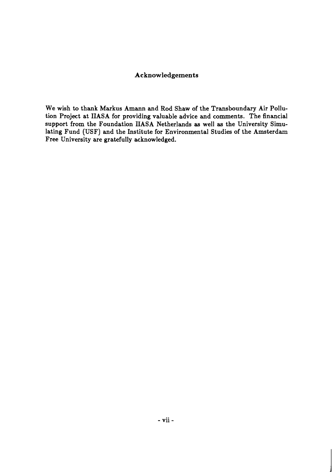# **Acknowledgements**

We wish to thank Markus Amann and Rod Shaw of the Transboundary Air Pollution Project at IIASA for providing valuable advice and comments. The financial support from the Foundation IIASA Netherlands **as** well as the University Simulating Fund (USF) and the Institute for Environmental Studies of the Amsterdam Free University are gratefully acknowledged.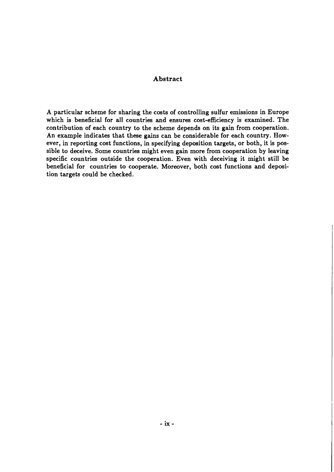### **Abstract**

A particular scheme for sharing the costs of controlling sulfur emissions in Europe which is beneficial for all countries and ensures cost-efficiency is examined. The contribution of each country to the scheme depends on its gain from cooperation. An example indicates that these gains can be considerable for each country. However, in reporting cost functions, in specifying deposition targets, or both, it is possible to deceive. Some countries might even gain more from cooperation by leaving specific countries outside the cooperation. Even with deceiving it might still be beneficial for countries to cooperate. Moreover, both cost functions and deposition targets could be checked.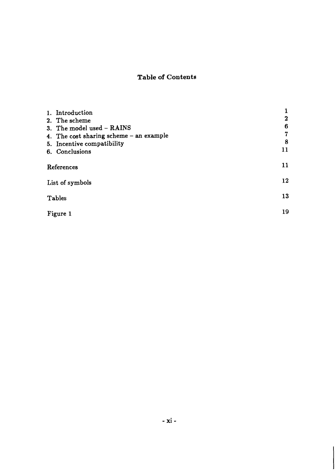# **Table of Contents**

| 1. Introduction<br>2. The scheme        | 2  |
|-----------------------------------------|----|
| 3. The model used - RAINS               | 6  |
| 4. The cost sharing scheme - an example | 7  |
| 5. Incentive compatibility              | 8  |
| 6. Conclusions                          | 11 |
| References                              | 11 |
| List of symbols                         | 12 |
| Tables                                  | 13 |
| Figure 1                                | 19 |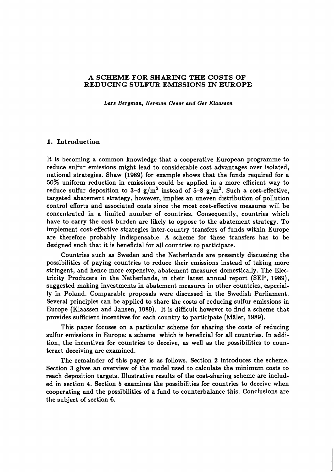#### **A SCHEME FOR SHARING THE COSTS OF REDUCING SULFUR EMISSIONS IN EUROPE**

*Lars Bergman, Herman Cesar and Ger Klaaeeen* 

#### **1. Introduction**

It is becoming a common knowledge that a cooperative European programme to reduce sulfur emissions might lead to considerable cost advantages over isolated, national strategies. Shaw (1989) for example shows that the funds required for a 50% uniform reduction in emissions could be applied in a more efficient way to reduce sulfur deposition to 3-4  $g/m^2$  instead of 5-8  $g/m^2$ . Such a cost-effective, targeted abatement strategy, however, implies an uneven distribution of pollution control efforts and associated costs since the most cost-effective measures will be concentrated in a limited number of countries. Consequently, countries which have to carry the cost burden are likely to oppose to the abatement strategy. To implement cost-effective strategies inter-country transfers of funds within Europe are therefore probably indispensable. A scheme for these transfers has to be designed such that it is beneficial for all countries to participate.

Countries such as Sweden and the Netherlands are presently discussing the possibilities of paying countries to reduce their emissions instead of taking more stringent, and hence more expensive, abatement measures domestically. The Electricity Producers in the Netherlands, in their latest annual report (SEP, 1989), suggested making investments in abatement measures in other countries, especially in Poland. Comparable proposals were discussed in the Swedish Parliament. Several principles can be applied to share the costs of reducing sulfur emissions in Europe (Klaassen and Jansen, 1989). It is difficult however to find a scheme that provides sufficient incentives for each country to participate (Maler, 1989).

This paper focuses on a particular scheme for sharing the costs of reducing sulfur emissions in Europe: a scheme which is beneficial for all countries. In addition, the incentives for countries to deceive, as well as the possibilities to counteract deceiving are examined.

The remainder of this paper is as follows. Section 2 introduces the scheme. Section 3 gives an overview of the model used to calculate the minimum costs to reach deposition targets. Illustrative results of the cost-sharing scheme are included in section 4. Section 5 examines the possibilities for countries to deceive when cooperating and the possibilities of a fund to counterbalance this. Conclusions are the subject of section 6.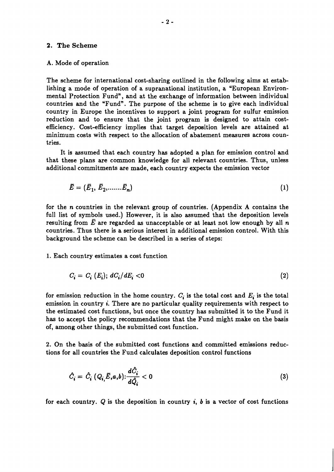#### **2. The Scheme**

#### A. Mode of operation

The scheme for international cost-sharing outlined in the following aims at establishing a mode of operation of a supranational institution, a "European Environmental Protection Fund", and at the exchange of information between individual countries and the "Fund". The purpose of the scheme is to give each individual country in Europe the incentives to support a joint program for sulfur emission reduction and to ensure that the joint program is designed to attain costefficiency. Cost-efficiency implies that target deposition levels are attained at minimum costs with respect to the allocation of abatement measures across countries.

It is assumed that each country has adopted a plan for emission control and that these plans are common knowledge for all relevant countries. Thus, unless additional commitments are made, each country expects the emission vector

$$
\bar{E} = (\bar{E}_1, \bar{E}_2, \dots, \bar{E}_n) \tag{1}
$$

for the **n** countries in the relevant group of countries. (Appendix A contains the full list of symbols used.) However, it is also assumed that the deposition levels resulting from  $\bar{E}$  are regarded as unacceptable or at least not low enough by all  $n$ countries. Thus there is a serious interest in additional emission control. With this background the scheme can be described in a series of steps:

1. Each country estimates a cost function

$$
C_i = C_i \ (E_i); \ dC_i/dE_i < 0 \tag{2}
$$

for emission reduction in the home country.  $C_i$  is the total cost and  $E_i$  is the total emission in country  $\mathbf{i}$ . There are no particular quality requirements with respect to the estimated cost functions, but once the country has submitted it to the Fund it has to accept the policy recommendations that the Fund might make on the basis of, among other things, the submitted cost function.

2. On the basis of the submitted cost functions and committed emissions reductions for all countries the Fund calculates deposition control functions

$$
\hat{C}_i = \hat{C}_i \ (Q_{i, \bar{E}, a, b}) : \frac{d\hat{C}_i}{d\hat{Q}_i} < 0 \tag{3}
$$

for each country.  $Q$  is the deposition in country i, b is a vector of cost functions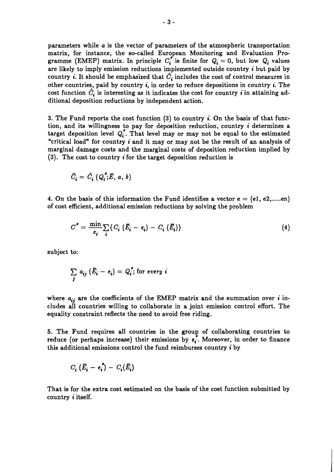parameters while a is the vector of parameters of the atmospheric transportation matrix, for instance, the so-called European Monitoring and Evaluation Programme (EMEP) matrix. In principle  $C_i^*$  is finite for  $Q_i = 0$ , but low  $Q_i$  values are likely to imply emission reductions implemented outside country **i** but paid by country i. It should be emphasized that  $\hat{C}_i$  includes the cost of control measures in other countries, paid by country i, in order to reduce depositions in country **i.** The cost function  $\hat{C}_i$  is interesting as it indicates the cost for country *i* in attaining additional deposition reductions by independent action.

3. The Fund reports the cost function (3) to country **i.** On the basis of that function, and its willingness to pay for deposition reduction, country **i** determines a target deposition level  $Q_i^*$ . That level may or may not be equal to the estimated "critical load" for country **i** and it may or may not be the result of an analysis of marginal damage costs and the marginal costs of deposition reduction implied by (3). The cost to country **i** for the target deposition reduction is

$$
\bar{C}_{\pmb{i}} = \hat{C}_{\pmb{i}}(Q_{\pmb{i}}^{\pmb{*}}; \bar{E}, a, b)
$$

4. On the basis of this information the Fund identifies a vector  $e = (e_1, e_2, \dots, e_n)$ of cost efficient, additional emission reductions by solving the problem

$$
C^* = \frac{\min}{e_i} \sum_i \{ C_i (\bar{E}_i - e_i) - C_i (\bar{E}_i) \}
$$
 (4)

subject to:

$$
\sum_{j} a_{ij} (\bar{E}_{i} - e_{i}) = Q_{i}^{*}; \text{for every } i
$$

where  $a_{ij}$  are the coefficients of the EMEP matrix and the summation over *i* includes all countries willing to collaborate in a joint emission control effort. The equality constraint reflects the need to avoid free riding.

5. The Fund requires all countries in the group of collaborating countries to reduce (or perhaps increase) their emissions by  $e_i$ . Moreover, in order to finance this additional emissions control the fund reimburses country i by

$$
C_i \left( \bar{E}_i - e_i^{\dagger} \right) - C_i \left( \bar{E}_i \right)
$$

That is for the extra cost estimated on the basis of the cost function submitted by country **i** itself.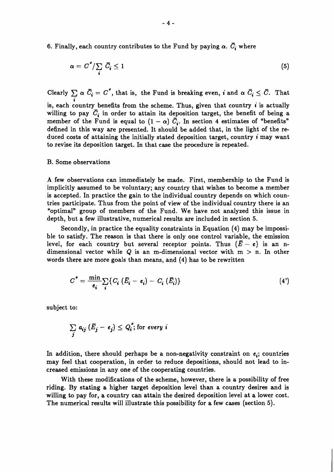6. Finally, each country contributes to the Fund by paying  $\alpha$ .  $\overline{C}_i$  where

$$
\alpha = C^* / \sum_i \bar{C}_i \le 1 \tag{5}
$$

Clearly  $\sum \alpha \ \bar{C_i} = C^*$ , that is, the Fund is breaking even, *i* and  $\alpha \ \bar{C_i} \leq \bar{C}$ . That **i**  is, each country benefits from the scheme. Thus, given that country **i** is actually willing to pay  $\overline{C}_i$  in order to attain its deposition target, the benefit of being a member of the Fund is equal to  $(1 - \alpha) \overline{C}_i$ . In section 4 estimates of "benefits" defined in this way are presented. It should be added that, in the light of the reduced costs of attaining the initially stated deposition target, country **i** may want to revise its deposition target. In that case the procedure is repeated.

#### B. Some observations

A few observations can immediately be made. First, membership to the Fund is implicitly assumed to be voluntary; any country that wishes to become a member is accepted. In practice the gain to the individual country depends on which countries participate. Thus from the point of view of the individual country there is an "optimal" group of members of the Fund. We have not analyzed this issue in depth, but a few illustrative, numerical results are included in section **5.** 

Secondly, in practice the equality constraints in Equation **(4)** may be impossible to satisfy. The reason is that there is only one control variable, the emission level, for each country but several receptor points. Thus  $(E - e)$  is an ndimensional vector while **Q** is an m-dimensional vector with m > n. In other words there are more goals than means, and **(4)** has to be rewritten

$$
C^* = \frac{\min}{e_i} \sum_i \{ C_i (\bar{E}_i - e_i) - C_i (\bar{E}_i) \}
$$
 (4')

subject to:

$$
\sum_{j} a_{ij} (\bar{E}_{j} - e_{j}) \leq Q_{i}^{\ast}; \text{for every } i
$$

In addition, there should perhaps be a non-negativity constraint on  $e_i$ ; countries may feel that cooperation, in order to reduce depositions, should not lead to increased emissions in any one of the cooperating countries.

With these modifications of the scheme, however, there is a possibility of free riding. By stating a higher target deposition level than a country desires and is willing to pay for, a country can attain the desired deposition level at a lower cost. The numerical results will illustrate this possibility for a few cases (section **5).**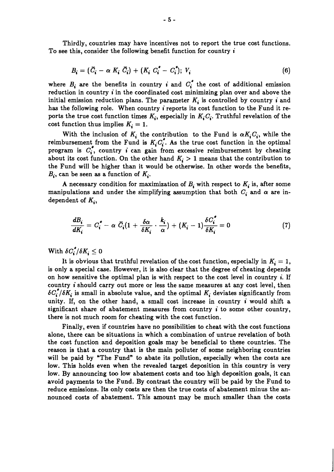Thirdly, countries may have incentives not to report the true cost functions. To see this, consider the following benefit function for country **i** 

$$
B_i = (\bar{C}_i - \alpha K_i \bar{C}_i) + (K_i C_i^* - C_i^*); V_i
$$
\n
$$
(6)
$$

where  $B_i$  are the benefits in country *i* and  $C_i^*$  the cost of additional emission reduction in country **i** in the coordinated cost minimizing plan over and above the initial emission reduction plans. The parameter  $K_i$  is controlled by country *i* and has the following role. When country i reports its cost function to the Fund it reports the true cost function times  $K_i$ , especially in  $K_iC_i$ . Truthful revelation of the cost function thus implies  $K_i = 1$ .

With the inclusion of  $K_i$  the contribution to the Fund is  $\alpha K_i C_i$ , while the reimbursement from the Fund is  $K_i C_i^*$ . As the true cost function in the optimal program is  $C_i^*$ , country *i* can gain from excessive reimbursement by cheating about its cost function. On the other hand  $K_i > 1$  means that the contribution to the Fund will be higher than it would be otherwise. In other words the benefits,  $B_i$ , can be seen as a function of  $K_i$ .

A necessary condition for maximization of  $B_i$  with respect to  $K_i$  is, after some manipulations and under the simplifying assumption that both  $C_i$  and  $\alpha$  are in-<br>dependent of  $K_i$ ,<br> $\frac{dB_i}{dK_i} = C_i^* - \alpha \ \bar{C}_i (1 + \frac{\delta \alpha}{\delta K_i} \cdot \frac{k_i}{\alpha}) + (K_i - 1) \frac{\delta C_i^*}{\delta K_i} = 0$  (7) dependent of  $K_i$ ,

$$
\frac{dB_i}{dK_i} = C_i^* - \alpha \ \bar{C}_i (1 + \frac{\delta \alpha}{\delta K_i} \cdot \frac{k_i}{\alpha}) + (K_i - 1) \frac{\delta C_i^*}{\delta K_i} = 0 \tag{7}
$$

With  $\delta C^{*}_{i}/\delta K_{i} \leq 0$ 

It is obvious that truthful revelation of the cost function, especially in  $K_i = 1$ , is only a special case. However, it is also clear that the degree of cheating depends on how sensitive the optimal plan is with respect to the cost level in country **i.** If country **i** should carry out more or less the same measures at any cost level, then  $\delta C^{*}_{i}/\delta K_{i}$  is small in absolute value, and the optimal  $K_{i}$  deviates significantly from unity. If, on the other hand, a small cost increase in country **i** would shift a significant share of abatement measures from country  $\boldsymbol{i}$  to some other country, there is not much room for cheating with the cost function.

Finally, even if countries have no possibilities to cheat with the cost functions alone, there can be situations in which a combination of untrue revelation of both the cost function and deposition goals may be beneficial to these countries. The reason is that a country that is the main polluter of some neighboring countries will be paid by "The Fund" to abate its pollution, especially when the costs are low. This holds even when the revealed target deposition in this country is very low. By announcing too low abatement costs and too high deposition goals, it can avoid payments to the Fund. By contrast the country will be paid by the Fund to reduce emissions. Its only costs are then the true costs of abatement minus the announced costs of abatement. This amount may be much smaller than the costs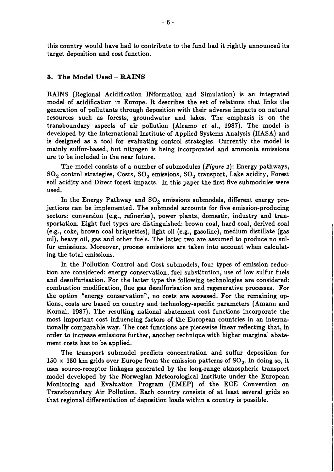this country would have had to contribute to the fund had it rightly announced its target deposition and cost function.

#### **3. The Model Used** - **RAINS**

RAINS (Regional Acidification INformation and Simulation) is an integrated model of acidification in Europe. It describes the set of relations that links the generation of pollutants through deposition with their adverse impacts on natural resources such as forests, groundwater and lakes. The emphasis is on the transboundary aspects of air pollution (Alcamo et **d.,** 1987). The model is developed by the International Institute of Applied Systems Analysis (IIASA) and is designed **as** a tool for evaluating control strategies. Currently the model is mainly sulfur-based, but nitrogen is being incorporated and ammonia emissions are to be included in the near future.

The model consists of a number of submodules (*Figure 1*): Energy pathways,  $SO_2$  control strategies, Costs,  $SO_2$  emissions,  $SO_2$  transport, Lake acidity, Forest soil acidity and Direct forest impacts. In this paper the first five submodules were used.

In the Energy Pathway and  $SO_2$  emissions submodels, different energy projections can be implemented. The submodel accounts for five emission-producing sectors: conversion (e.g., refineries), power plants, domestic, industry and transportation. Eight fuel types are distinguished: brown coal, hard coal, derived coal (e.g., coke, brown coal briquettes), light oil (e.g., gasoline), medium distillate (gas oil), heavy oil, gas and other fuels. The latter two are assumed to produce no sulfur emissions. Moreover, process emissions are taken into account when calculating the total emissions.

In the Pollution Control and Cost submodels, four types of emission reduction are considered: energy conservation, fuel substitution, use of low sulfur fuels and desulfurisation. For the latter type the following technologies are considered: combustion modification, flue gas desulfurisation and regenerative processes. For the option "energy conservation", no costs are assessed. For the remaining options, costs are based on country and technology-specific parameters (Amann and Kornai, 1987). The resulting national abatement cost functions incorporate the most important cost influencing factors of the European countries in an internationally comparable way. The cost functions are piecewise linear reflecting that, in order to increase emissions further, another technique with higher marginal abatement costs has to be applied.

The transport submodel predicts concentration and sulfur deposition for 150 x 150 km grids over Europe from the emission patterns of  $SO_2$ . In doing so, it uses source-receptor linkages generated by the long-range atmospheric transport model developed by the Norwegian Meteorological Institute under the European Monitoring and Evaluation Program (EMEP) of the ECE Convention on Transboundary Air Pollution. Each country consists of at least several grids so that regional differentiation of deposition loads within a country is possible.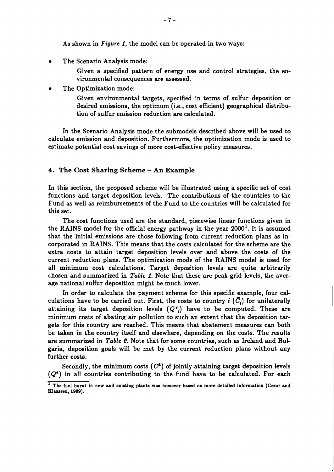As shown in *Figure* 1, the model can be operated in two ways:

 $\bullet$ The Scenario Analysis mode:

> Given a specified pattern of energy use and control strategies, the environmental consequences are assessed.

The Optimization mode:

Given environmental targets, specified in terms of sulfur deposition or desired emissions, the optimum (i.e., cost efficient) geographical distribution of sulfur emission reduction are calculated.

In the Scenario Analysis mode the submodels described above will be used to calculate emission and deposition. Furthermore, the optimization mode is used to estimate potential cost savings of more cost-effective policy measures.

#### 4. The **Cost** Sharing Scheme - An Example

In this section, the proposed scheme will be illustrated using a specific set of cost functions and target deposition levels. The contributions of the countries to the Fund as well as reimbursements of the Fund to the countries will be calculated for this set.

The cost functions used are the standard, piecewise linear functions given in the RAINS model for the official energy pathway in the year **2000'.** It is assumed that the initial emissions are those following from current reduction plans as incorporated in RAINS. This means that the costs calculated for the scheme are the extra costs to attain target deposition levels over and above the costs of the current reduction plans. The optimization mode of the RAINS model is used for all minimum cost calculations. Target deposition levels are quite arbitrarily chosen and summarized in *Table* 1. Note that these are peak grid levels, the average national sulfur deposition might be much lower.

In order to calculate the payment scheme for this specific example, four calculations have to be carried out. First, the costs to country *i*  $(\bar{C}_i)$  for unilaterally attaining its target deposition levels  $(Q^*_{i})$  have to be computed. These are minimum costs of abating air pollution to such an extent that the deposition targets for this country are reached. This means that abatement measures can both be taken in the country itself and elsewhere, depending on the costs. The results are summarized in *Table* 2. Note that for some countries, such as Ireland and Bulgaria, deposition goals will be met by the current reduction plans without any further costs.

Secondly, the minimum costs  $(C^*)$  of jointly attaining target deposition levels  $(Q^*)$  in all countries contributing to the fund have to be calculated. For each

<sup>&</sup>lt;sup>I</sup> The fuel burnt in new and existing plants was however based on more detailed information (Cesar and **Klaamen, 1989).**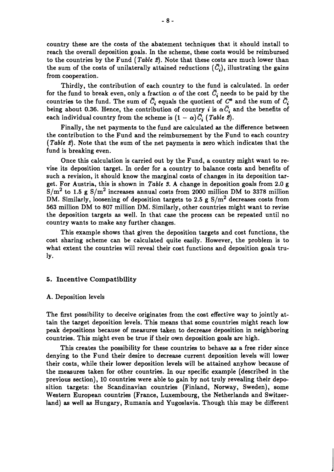country these are the costs of the abatement techniques that it should install to reach the overall deposition goals. In the scheme, these costs would be reimbursed to the countries by the Fund (Table 2). Note that these costs are much lower than the sum of the costs of unilaterally attained reductions  $(\bar{C}_i)$ , illustrating the gains from cooperation.

Thirdly, the contribution of each country to the fund is calculated. In order for the fund to break even, only a fraction  $\alpha$  of the cost  $\overline{C}_i$  needs to be paid by the countries to the fund. The sum of  $\bar{C}_i$  equals the quotient of  $C^*$  and the sum of  $\bar{C}_i$ being about 0.36. Hence, the contribution of country *i* is  $\alpha \bar{C}_i$  and the benefits of each individual country from the scheme is  $(1 - \alpha) \bar{C}_i$  (Table 2).

Finally, the net payments to the fund are calculated as the difference between the contribution to the Fund and the reimbursement by the Fund to each country (Table 2). Note that the sum of the net payments is zero which indicates that the fund is breaking even.

Once this calculation is carried out by the Fund, a country might want to revise its deposition target. In order for a country to balance costs and benefits of such a revision, it should know the marginal costs of changes in its deposition target. For Austria, this is shown in Table **3.** A change in deposition goals from **2.0** g s/m2 to **1.5** g s/m2 increases annual costs from **2000** million DM to **3378** million DM. Similarly, loosening of deposition targets to 2.5 g S/m<sup>2</sup> decreases costs from **563** million DM to **807** million DM. Similarly, other countries might want to revise the deposition targets as well. In that case the process can be repeated until no country wants to make any further changes.

This example shows that given the deposition targets and cost functions, the cost sharing scheme can be calculated quite easily. However, the problem is to what extent the countries will reveal their cost functions and deposition goals truly.

#### **5. Incentive Compatibility**

#### A. Deposition levels

The first possibility to deceive originates from the cost effective way to jointly attain the target deposition levels. This means that some countries might reach low peak depositions because of measures taken to decrease deposition in neighboring countries. This might even be true if their own deposition goals are high.

This creates the possibility for these countries to behave as a free rider since denying to the Fund their desire to decrease current deposition levels will lower their costs, while their lower deposition levels will be attained anyhow because of the measures taken for other countries. In our specific example (described in the previous section), **10** countries were able to gain by not truly revealing their depsition targets: the Scandinavian countries (Finland, Norway, Sweden), some Western European countries (France, Luxembourg, the Netherlands and Switzerland) **as** well as Hungary, Rumania and Yugoslavia. Though this may be different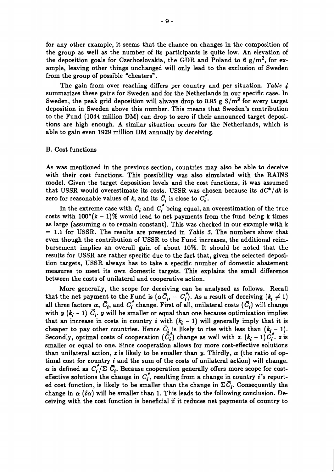for any other example, it seems that the chance on changes in the composition of the group as well as the number of its participants is quite low. An elevation of the deposition goals for Czechoslovakia, the GDR and Poland to 6  $g/m^2$ , for example, leaving other things unchanged will only lead to the exclusion of Sweden from the group of possible "cheaters".

The gain from over reaching differs per country and per situation. *Table* 4 summarizes these gains for Sweden and for the Netherlands in our specific case. In Sweden, the peak grid deposition will always drop to 0.95 g  $S/m^2$  for every target deposition in Sweden above this number. This means that Sweden's contribution to the Fund (1044 million DM) can drop to zero if their announced target depositions are high enough. A similar situation occurs for the Netherlands, which is able to gain even 1929 million DM annually by deceiving.

#### B. Cost functions

As was mentioned in the previous section, countries may also be able to deceive with their cost functions. This possibility was also simulated with the RAINS model. Given the target deposition levels and the cost functions, it was assumed that USSR would overestimate its costs. USSR was chosen because its  $dC^*/dk$  is zero for reasonable values of k, and its  $\overline{C}_i$  is close to  $C_i^*$ .

In the extreme case with  $\overline{C}_i$  and  $C_i^*$  being equal, an overestimation of the true costs with  $100^*(k - 1)\%$  would lead to net payments from the fund being k times as large (assuming  $\alpha$  to remain constant). This was checked in our example with k = 1.1 for USSR. The results are presented in *Table* 5. The numbers show that even though the contribution of USSR to the Fund increases, the additional reimbursement implies an overall gain of about 10%. It should be noted that the results for USSR are rather specific due to the fact that, given the selected deposition targets, USSR always has to take a specific number of domestic abatement measures to meet its own domestic targets. This explains the small difference between the costs of unilateral and cooperative action.

More generally, the scope for deceiving can be analyzed as follows. Recall More generally, the scope for deceiving can be analyzed as follows. Recall that the net payment to the Fund is  $(\alpha \bar{C}_{i}, -C_{i})$ . As a result of deceiving  $(k_{i} \neq 1)$ all three factors  $\alpha$ ,  $\bar{C}_i$ , and  $C_i^*$  change. First of all, unilateral costs  $(\bar{C}_i)$  will change with  $y$   $(k_i - 1)$   $\bar{C}_i$ . y will be smaller or equal than one because optimization implies that an increase in costs in country *i* with  $(k<sub>i</sub> - 1)$  will generally imply that it is cheaper to pay other countries. Hence  $\overline{C_i}$  is likely to rise with less than  $(k_i - 1)$ . Secondly, optimal costs of cooperation  $(\overrightarrow{C}_i^*)$  change as well with  $z$ .  $(k_i - 1)C_i^*$ . **z** is smaller or equal to one. Since cooperation allows for more cost-effective solutions than unilateral action, z is likely to be smaller than y. Thirdly,  $\alpha$  (the ratio of optimal cost for country **i** and the sum of the costs of unilateral action) will change.  $\alpha$  is defined as  $C^*_i/\Sigma \bar{C}_i$ . Because cooperation generally offers more scope for costeffective solutions the change in  $C_i^*$ , resulting from a change in country *i*'s reported cost function, is likely to be smaller than the change in  $\Sigma \bar{C}_i$ . Consequently the change in  $\alpha$  ( $\delta \alpha$ ) will be smaller than 1. This leads to the following conclusion. Deceiving with the cost function is beneficial if it reduces net payments of country to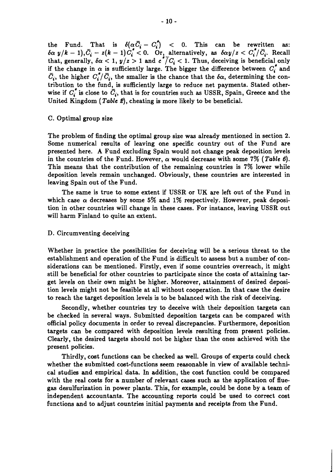the Fund. That is  $\delta(\alpha \bar{C_i} - C_i^*)$  < 0. This can be rewritten as:<br>  $\delta \alpha y/k - 1$ ,  $\bar{C_i} - z(k - 1)C_i^* < 0$ . Or, alternatively, as  $\delta \alpha y/z < C_i^*/\bar{C_i}$ . Recall  $\int_0^{\infty} \frac{y}{\kappa} - 1$ ,  $C_i - z(\kappa - 1)C_i < 0$ . Or, alternatively, as  $\int_0^{\infty} \frac{y}{z} < C_i/C_i$ . Recall that, generally,  $\delta \alpha < 1$ ,  $y/z > 1$  and  $c^2/C_i < 1$ . Thus, deceiving is beneficial only if the change in  $\alpha$  is sufficiently large. The bigger the difference between  $C_i^*$  and  $\overline{C}_i$ , the higher  $C_i^*/\overline{C}_i$ , the smaller is the chance that the  $\delta\alpha$ , determining the contribution to the fund, is sufficiently large to reduce net payments. Stated otherwise if  $C_i^*$  is close to  $\overline{C_i}$ , that is for countries such as USSR, Spain, Greece and the United Kingdom ( Table **E),** cheating is more likely to be beneficial.

#### C. Optimal group size

The problem of finding the optimal group size was already mentioned in section 2. Some numerical results of leaving one specific country out of the Fund are presented here. A Fund excluding Spain would not change peak deposition levels in the countries of the Fund. However,  $\alpha$  would decrease with some 7% (Table 6). This means that the contribution of the remaining countries is **7%** lower while deposition levels remain unchanged. Obviously, these countries are interested in leaving Spain out of the Fund.

The same is true to some extent if USSR or UK are left out of the Fund in which case  $\alpha$  decreases by some 5% and 1% respectively. However, peak deposition in other countries will change in these cases. For instance, leaving USSR out will harm Finland to quite an extent.

#### D. Circumventing deceiving

Whether in practice the possibilities for deceiving will be a serious threat to the establishment and operation of the Fund is difficult to assess but a number of considerations can be mentioned. Firstly, even if some countries overreach, it might still be beneficial for other countries to participate since the costs of attaining target levels on their own might be higher. Moreover, attainment of desired deposition levels might not be feasible at all without cooperation. In that case the desire to reach the target deposition levels is to be balanced with the risk of deceiving.

Secondly, whether countries try to deceive with their deposition targets can be checked in several ways. Submitted deposition targets can be compared with official policy documents in order to reveal discrepancies. Furthermore, deposition targets can be compared with deposition levels resulting from present policies. Clearly, the desired targets should not be higher than the ones achieved with the present policies.

Thirdly, cost functions can be checked as well. Groups of experts could check whether the submitted cost-functions seem reasonable in view of available technical studies and empirical data. In addition, the cost function could be compared with the real costs for a number of relevant cases such as the application of fluegas desulfurization in power plants. This, for example, could be done by a team of independent accountants. The accounting reports could be used to correct cost functions and to adjust countries initial payments and receipts from the Fund.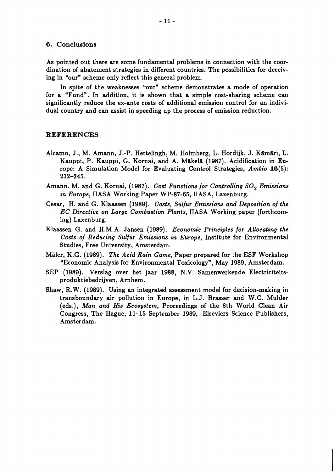#### 6. **Conclusions**

As pointed out there are some fundamental problems in connection with the coordination of abatement strategies in different countries. The possibilities for deceiving in "our" scheme only reflect this general problem.

In spite of the weaknesses "our" scheme demonstrates a mode of operation for a "Fund". In addition, it is shown that a simple cost-sharing scheme can significantly reduce the ex-ante costs of additional emission control for an individual country and can assist in speeding up the process of emission reduction.

#### **REFERENCES**

- Alcamo, J., M. Amann, J.-P. Hettelingh, M. Holmberg, L. Hordijk, J. Kämäri, L. Kauppi, P. Kauppi, G. Kornai, and A. Mikeli (1987). Acidification in Europe: A Simulation Model for Evaluating Control Strategies, Ambio 16(5): 232-245.
- Amann. M. and G. Kornai, (1987). Cost Functions for Controlling  $SO_2$  Emissions in Europe, IIASA Working Paper WP-87-65, IIASA, Laxenburg.
- Cesar, H. and G. Klaassen (1989). Costs, Sulfur Emissions and Deposition of the EC Directive on Large Combustion Plants, IIASA Working paper (forthcoming) Laxenburg.
- Klaassen G. and H.M.A. Jansen (1989). Economic Principles for Allocating the Costs of Reducing Sulfur Emissions in Europe, Institute for Environmental Studies, Free University, Amsterdam.
- Mäler, K.G. (1989). The Acid Rain Game, Paper prepared for the ESF Workshop "Economic Analysis for Environmental Toxicology", May 1989, Amsterdam.
- SEP (1989). Verslag over het jaar 1988, N.V. Samenwerkende Electriciteitsproduktiebedrijven, Arnhem.
- Shaw, R. W. (1989). Using an integrated assessment model for decision-making in transboundary air pollution in Europe, in L.J. Brasser and W.C. Mulder (eds.), Man and His Ecosystem, Proceedings of the 8th World Clean Air Congress, The Hague, 11-15 September 1989, Elseviers Science Publishers, Amsterdam.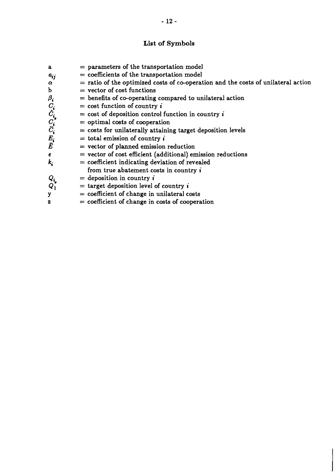# **List of Symbols**

| a                                        | $=$ parameters of the transportation model                                          |
|------------------------------------------|-------------------------------------------------------------------------------------|
| $a_{ij}$                                 | $=$ coefficients of the transportation model                                        |
| $\alpha$                                 | $=$ ratio of the optimized costs of co-operation and the costs of unilateral action |
| $\mathbf b$                              | $=$ vector of cost functions                                                        |
| $\beta_i$                                | $=$ benefits of co-operating compared to unilateral action                          |
|                                          | $=$ cost function of country i                                                      |
|                                          | $=$ cost of deposition control function in country $\boldsymbol{i}$                 |
|                                          | $=$ optimal costs of cooperation                                                    |
| $C_i$<br>$\hat{C}_i$<br>$\overline{C}_i$ | $=$ costs for unilaterally attaining target deposition levels                       |
|                                          | $=$ total emission of country $\vec{i}$                                             |
| $\frac{E_i}{\bar{E}}$                    | $=$ vector of planned emission reduction                                            |
| $\epsilon$                               | $=$ vector of cost efficient (additional) emission reductions                       |
| $\boldsymbol{k_i}$                       | $=$ coefficient indicating deviation of revealed                                    |
|                                          | from true abatement costs in country i                                              |
| $Q_{\pmb{i} }$                           | $=$ deposition in country $\boldsymbol{i}$                                          |
| $Q_1$                                    | $=$ target deposition level of country i                                            |
| y                                        | $=$ coefficient of change in unilateral costs                                       |

 $=$  coefficient of change in costs of cooperation  $\mathbf{z}$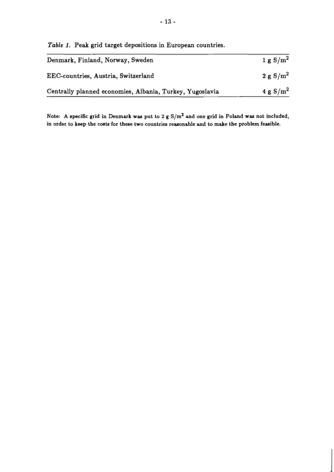*Table* **1. Peak grid target depositions in European countries.** 

| Denmark, Finland, Norway, Sweden                         | 1 g S/m <sup>2</sup> |
|----------------------------------------------------------|----------------------|
| EEC-countries, Austria, Switzerland                      | 2 g S/m <sup>2</sup> |
| Centrally planned economies, Albania, Turkey, Yugoslavia | $4 g S/m^2$          |

**Note: A specific grid in Denmark was put to 2 g s/m2 and one grid in Poland was not included, in order to keep the costs for these two countries reasonable and to make the problem feasible.**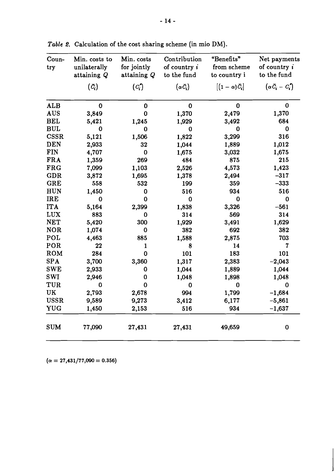| Coun-<br>try | Min. costs to<br>unilaterally<br>attaining Q | Min. costs<br>for jointly<br>attaining $Q$ | Contribution<br>of country $i$<br>to the fund | "Benefits"<br>from scheme<br>to country i | Net payments<br>of country $i$<br>to the fund |
|--------------|----------------------------------------------|--------------------------------------------|-----------------------------------------------|-------------------------------------------|-----------------------------------------------|
|              | $(\bar{C}_{i})$                              | $(C_i)$                                    | $(\alpha \bar{C}_i)$                          | $[(1-\alpha)\bar{C}_{i}]$                 | $\left(\alpha \bar{C}_i - C_i\right)$         |
| <b>ALB</b>   | $\bf{0}$                                     | $\bf{0}$                                   | $\bf{0}$                                      | $\bf{0}$                                  | $\bf{0}$                                      |
| <b>AUS</b>   | 3,849                                        | 0                                          | 1,370                                         | 2,479                                     | 1,370                                         |
| <b>BEL</b>   | 5,421                                        | 1,245                                      | 1,929                                         | 3,492                                     | 684                                           |
| <b>BUL</b>   | $\bf{0}$                                     | 0                                          | $\bf{0}$                                      | $\bf{0}$                                  | $\bf{0}$                                      |
| <b>CSSR</b>  | 5,121                                        | 1,506                                      | 1,822                                         | 3,299                                     | 316                                           |
| <b>DEN</b>   | 2,933                                        | 32                                         | 1,044                                         | 1,889                                     | 1,012                                         |
| <b>FIN</b>   | 4,707                                        | 0                                          | 1,675                                         | 3,032                                     | 1,675                                         |
| <b>FRA</b>   | 1,359                                        | 269                                        | 484                                           | 875                                       | 215                                           |
| <b>FRG</b>   | 7,099                                        | 1,103                                      | 2,526                                         | 4,573                                     | 1,423                                         |
| <b>GDR</b>   | 3,872                                        | 1,695                                      | 1,378                                         | 2,494                                     | $-317$                                        |
| <b>GRE</b>   | 558                                          | 532                                        | 199                                           | 359                                       | $-333$                                        |
| <b>HUN</b>   | 1,450                                        | $\bf{0}$                                   | 516                                           | 934                                       | 516                                           |
| <b>IRE</b>   | 0                                            | $\bf{0}$                                   | $\bf{0}$                                      | 0                                         | $\bf{0}$                                      |
| <b>ITA</b>   | 5,164                                        | 2,399                                      | 1,838                                         | 3,326                                     | $-561$                                        |
| <b>LUX</b>   | 883                                          | 0                                          | 314                                           | 569                                       | 314                                           |
| <b>NET</b>   | 5,420                                        | 300                                        | 1,929                                         | 3,491                                     | 1,629                                         |
| <b>NOR</b>   | 1,074                                        | $\bf{0}$                                   | 382                                           | 692                                       | 382                                           |
| POL          | 4,463                                        | 885                                        | 1,588                                         | 2,875                                     | 703                                           |
| POR          | 22                                           | $\mathbf{1}$                               | 8                                             | 14                                        | $\overline{7}$                                |
| ROM          | 284                                          | $\mathbf 0$                                | 101                                           | 183                                       | 101                                           |
| <b>SPA</b>   | 3,700                                        | 3,360                                      | 1,317                                         | 2,383                                     | $-2,043$                                      |
| <b>SWE</b>   | 2,933                                        | 0                                          | 1,044                                         | 1,889                                     | 1,044                                         |
| <b>SWI</b>   | 2,946                                        | 0                                          | 1,048                                         | 1,898                                     | 1,048                                         |
| TUR          | $\bf{0}$                                     | $\bf{0}$                                   | $\bf{0}$                                      | $\bf{0}$                                  | $\bf{0}$                                      |
| UK           | 2,793                                        | 2,678                                      | 994                                           | 1,799                                     | $-1,684$                                      |
| <b>USSR</b>  | 9,589                                        | 9,273                                      | 3,412                                         | 6,177                                     | $-5,861$                                      |
| <b>YUG</b>   | 1,450                                        | 2,153                                      | 516                                           | 934                                       | $-1,637$                                      |
| <b>SUM</b>   | 77,090                                       | 27,431                                     | 27,431                                        | 49,659                                    | $\bf{0}$                                      |

Table 2. Calculation of the cost sharing scheme (in mio DM).

 $(\alpha = 27,431/77,090 = 0.356)$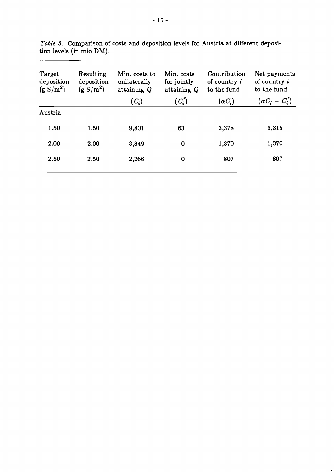| Target<br>deposition<br>(g S/m <sup>2</sup> ) | Resulting<br>deposition<br>(g S/m <sup>2</sup> ) | Min. costs to<br>unilaterally<br>attaining Q | Min. costs<br>for jointly<br>attaining Q | Contribution<br>of country $\boldsymbol{i}$<br>to the fund | Net payments<br>of country $\boldsymbol{i}$<br>to the fund |
|-----------------------------------------------|--------------------------------------------------|----------------------------------------------|------------------------------------------|------------------------------------------------------------|------------------------------------------------------------|
|                                               |                                                  | $(\bar{C}_{i})$                              | $(C_i^{\star})$                          | $(\alpha \bar{C}_{\pmb{i}})$                               | $(\alpha C_i - C_i^*)$                                     |
| Austria                                       |                                                  |                                              |                                          |                                                            |                                                            |
| 1.50                                          | 1.50                                             | 9,801                                        | 63                                       | 3,378                                                      | 3,315                                                      |
| 2.00                                          | 2.00                                             | 3,849                                        | $\bf{0}$                                 | 1,370                                                      | 1,370                                                      |
| 2.50                                          | 2.50                                             | 2,266                                        | 0                                        | 807                                                        | 807                                                        |
|                                               |                                                  |                                              |                                          |                                                            |                                                            |

*Table* **9.** Comparison of costs and deposition levels for Austria at different deposition levels (in mio DM).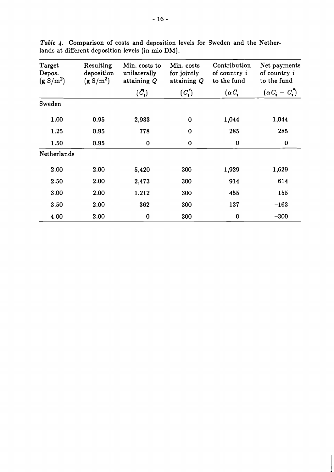| Target<br>Depos.<br>(g S/m <sup>2</sup> ) | Resulting<br>deposition<br>(g S/m <sup>2</sup> ) | Min. costs to<br>unilaterally<br>attaining Q | Min. costs<br>for jointly<br>attaining Q | Contribution<br>of country $\boldsymbol{i}$<br>to the fund | Net payments<br>of country $\boldsymbol{i}$<br>to the fund |
|-------------------------------------------|--------------------------------------------------|----------------------------------------------|------------------------------------------|------------------------------------------------------------|------------------------------------------------------------|
|                                           |                                                  | $(\bar{C}_{\pmb{i}})$                        | $(C_i)$                                  | $(\alpha \bar{C}_{i})$                                     | $(\alpha C_i - C_i^{\dagger})$                             |
| Sweden                                    |                                                  |                                              |                                          |                                                            |                                                            |
| 1.00                                      | 0.95                                             | 2,933                                        | $\bf{0}$                                 | 1,044                                                      | 1,044                                                      |
| 1.25                                      | 0.95                                             | 778                                          | $\bf{0}$                                 | 285                                                        | 285                                                        |
| 1.50                                      | 0.95                                             | $\bf{0}$                                     | $\bf{0}$                                 | $\bf{0}$                                                   | $\bf{0}$                                                   |
| Netherlands                               |                                                  |                                              |                                          |                                                            |                                                            |
| 2.00                                      | 2.00                                             | 5,420                                        | 300                                      | 1,929                                                      | 1,629                                                      |
| 2.50                                      | 2.00                                             | 2,473                                        | 300                                      | 914                                                        | 614                                                        |
| 3.00                                      | 2.00                                             | 1,212                                        | 300                                      | 455                                                        | 155                                                        |
| 3.50                                      | 2.00                                             | 362                                          | 300                                      | 137                                                        | $-163$                                                     |
| 4.00                                      | 2.00                                             | $\bf{0}$                                     | 300                                      | $\bf{0}$                                                   | $-300$                                                     |

*Table* 4. Comparison of costs and deposition levels for Sweden and the Netherlands at different deposition levels (in mio DM).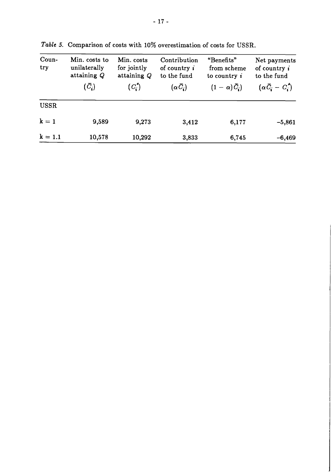| Coun-<br>try | Min. costs to<br>unilaterally<br>attaining Q | Min. costs<br>for jointly<br>attaining $Q$ | Contribution<br>of country $i$<br>to the fund | "Benefits"<br>from scheme<br>to country $i$ | Net payments<br>of country i<br>to the fund |
|--------------|----------------------------------------------|--------------------------------------------|-----------------------------------------------|---------------------------------------------|---------------------------------------------|
|              | $(\bar{C}_i)$                                | $(C_i)$                                    | $(\alpha \overline{C}_i)$                     | $(1-\alpha)\bar{C}_i$                       | $(\alpha \bar{C}_i - C_i^*)$                |
| <b>USSR</b>  |                                              |                                            |                                               |                                             |                                             |
| $k = 1$      | 9,589                                        | 9,273                                      | 3,412                                         | 6,177                                       | $-5,861$                                    |
| $k = 1.1$    | 10,578                                       | 10,292                                     | 3,833                                         | 6,745                                       | $-6,469$                                    |

*Table* **5. Comparison of costs with** 10% **overestimation of costs for USSR.**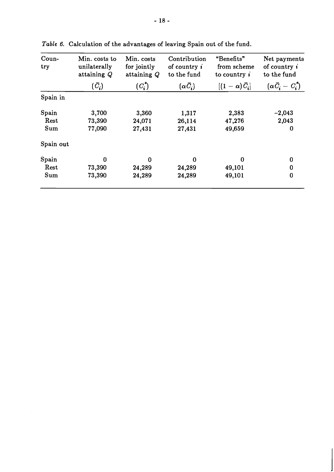| Coun-<br>try | Min. costs to<br>unilaterally<br>attaining Q | Min. costs<br>for jointly<br>attaining Q | Contribution<br>of country $\boldsymbol{i}$<br>to the fund | "Benefits"<br>from scheme<br>to country $\boldsymbol{i}$ | Net payments<br>of country $\boldsymbol{i}$<br>to the fund |
|--------------|----------------------------------------------|------------------------------------------|------------------------------------------------------------|----------------------------------------------------------|------------------------------------------------------------|
|              | $(\bar{C}_{i})$                              | $(C_i)$                                  | $(\alpha \bar{C}_{i})$                                     | $[(1-\alpha)\bar{C}_i]$                                  | $(\alpha \bar{C}_i - C_i^*)$                               |
| Spain in     |                                              |                                          |                                                            |                                                          |                                                            |
| Spain        | 3,700                                        | 3,360                                    | 1,317                                                      | 2,383                                                    | $-2,043$                                                   |
| Rest         | 73,390                                       | 24,071                                   | 26,114                                                     | 47,276                                                   | 2,043                                                      |
| Sum          | 77,090                                       | 27,431                                   | 27,431                                                     | 49,659                                                   | 0                                                          |
| Spain out    |                                              |                                          |                                                            |                                                          |                                                            |
| Spain        | 0                                            | $\bf{0}$                                 | 0                                                          | 0                                                        | 0                                                          |
| Rest         | 73,390                                       | 24,289                                   | 24,289                                                     | 49,101                                                   | $\bf{0}$                                                   |
| Sum          | 73,390                                       | 24,289                                   | 24,289                                                     | 49,101                                                   | $\bf{0}$                                                   |

Table 6. Calculation of the advantages of leaving Spain out of the fund.